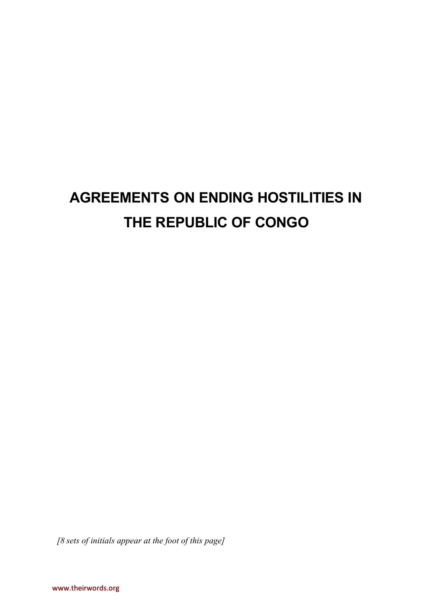# **AGREEMENTS ON ENDING HOSTILITIES IN THE REPUBLIC OF CONGO**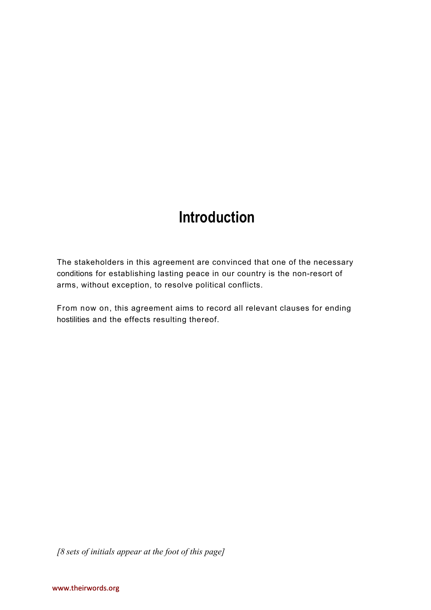## **Introduction**

The stakeholders in this agreement are convinced that one of the necessary conditions for establishing lasting peace in our country is the non-resort of arms, without exception, to resolve political conflicts.

From now on, this agreement aims to record all relevant clauses for ending hostilities and the effects resulting thereof.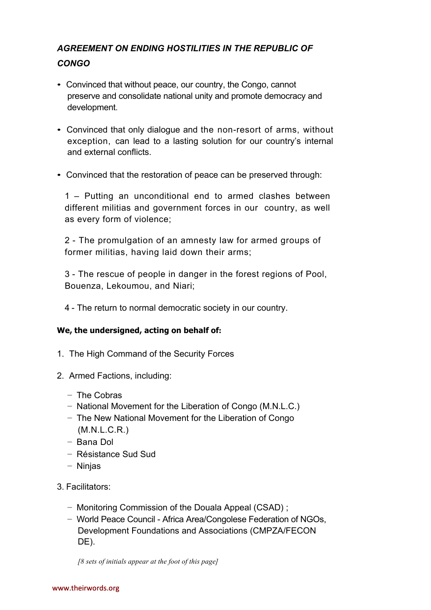## *AGREEMENT ON ENDING HOSTILITIES IN THE REPUBLIC OF CONGO*

- Convinced that without peace, our country, the Congo, cannot preserve and consolidate national unity and promote democracy and development.
- Convinced that only dialogue and the non-resort of arms, without exception, can lead to a lasting solution for our country's internal and external conflicts.
- Convinced that the restoration of peace can be preserved through:

1 – Putting an unconditional end to armed clashes between different militias and government forces in our country, as well as every form of violence;

2 - The promulgation of an amnesty law for armed groups of former militias, having laid down their arms;

3 - The rescue of people in danger in the forest regions of Pool, Bouenza, Lekoumou, and Niari;

4 - The return to normal democratic society in our country.

#### **We, the undersigned, acting on behalf of:**

- 1. The High Command of the Security Forces
- 2. Armed Factions, including:
	- − The Cobras
	- − National Movement for the Liberation of Congo (M.N.L.C.)
	- − The New National Movement for the Liberation of Congo (M.N.L.C.R.)
	- − Bana Dol
	- − Résistance Sud Sud
	- − Ninjas
- 3. Facilitators:
	- − Monitoring Commission of the Douala Appeal (CSAD) ;
	- − World Peace Council Africa Area/Congolese Federation of NGOs, Development Foundations and Associations (CMPZA/FECON DE).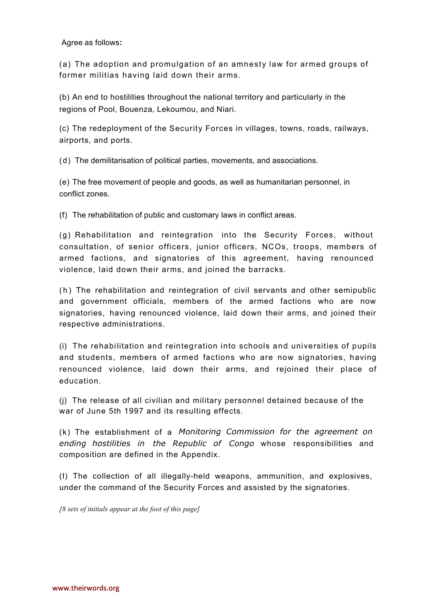#### Agree as follows**:**

(a) The adoption and promulgation of an amnesty law for armed groups of former militias having laid down their arms.

(b) An end to hostilities throughout the national territory and particularly in the regions of Pool, Bouenza, Lekoumou, and Niari.

(c) The redeployment of the Security Forces in villages, towns, roads, railways, airports, and ports.

(d) The demilitarisation of political parties, movements, and associations.

(e) The free movement of people and goods, as well as humanitarian personnel, in conflict zones.

(f) The rehabilitation of public and customary laws in conflict areas.

 $(q)$  Rehabilitation and reintegration into the Security Forces, without consultation, of senior officers, junior officers, NCOs, troops, members of armed factions, and signatories of this agreement, having renounced violence, laid down their arms, and joined the barracks.

(h) The rehabilitation and reintegration of civil servants and other semipublic and government officials, members of the armed factions who are now signatories, having renounced violence, laid down their arms, and joined their respective administrations.

 $(i)$  The rehabilitation and reintegration into schools and universities of pupils and students, members of armed factions who are now signatories, having renounced violence, laid down their arms, and rejoined their place of education.

(j) The release of all civilian and military personnel detained because of the war of June 5th 1997 and its resulting effects.

(k) The establishment of a *Monitoring Commission for the agreement on ending hostilities in the Republic of Congo* whose responsibilities and composition are defined in the Appendix.

(I) The collection of all illegally-held weapons, ammunition, and explosives, under the command of the Security Forces and assisted by the signatories.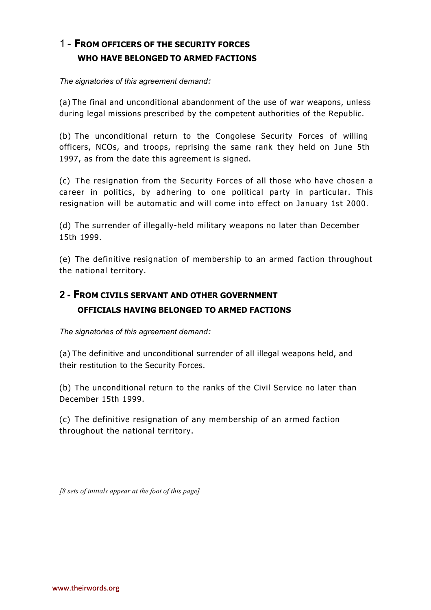## 1 - **FROM OFFICERS OF THE SECURITY FORCES WHO HAVE BELONGED TO ARMED FACTIONS**

*The signatories of this agreement demand:*

(a) The final and unconditional abandonment of the use of war weapons, unless during legal missions prescribed by the competent authorities of the Republic.

(b) The unconditional return to the Congolese Security Forces of willing officers, NCOs, and troops, reprising the same rank they held on June 5th 1997, as from the date this agreement is signed.

(c) The resignation from the Security Forces of all those who have chosen a career in politics, by adhering to one political party in particular. This resignation will be automatic and will come into effect on January 1st 2000.

(d) The surrender of illegally-held military weapons no later than December 15th 1999.

(e) The definitive resignation of membership to an armed faction throughout the national territory.

## **2 - FROM CIVILS SERVANT AND OTHER GOVERNMENT OFFICIALS HAVING BELONGED TO ARMED FACTIONS**

*The signatories of this agreement demand:*

(a) The definitive and unconditional surrender of all illegal weapons held, and their restitution to the Security Forces.

(b) The unconditional return to the ranks of the Civil Service no later than December 15th 1999.

(c) The definitive resignation of any membership of an armed faction throughout the national territory.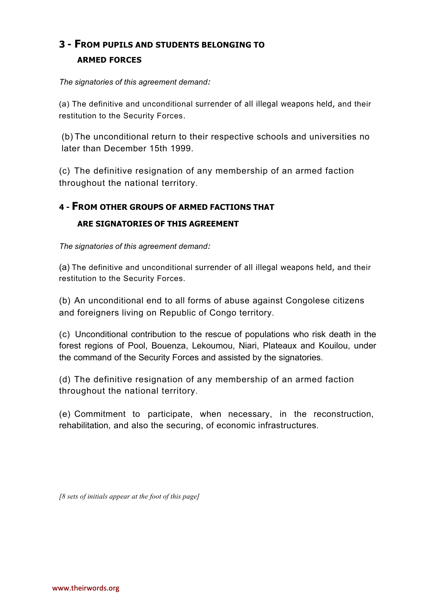## **3 - FROM PUPILS AND STUDENTS BELONGING TO ARMED FORCES**

*The signatories of this agreement demand:*

(a) The definitive and unconditional surrender of all illegal weapons held, and their restitution to the Security Forces.

(b) The unconditional return to their respective schools and universities no later than December 15th 1999.

(c) The definitive resignation of any membership of an armed faction throughout the national territory.

## **4 - FROM OTHER GROUPS OF ARMED FACTIONS THAT**

#### **ARE SIGNATORIES OF THIS AGREEMENT**

*The signatories of this agreement demand:*

(a) The definitive and unconditional surrender of all illegal weapons held, and their restitution to the Security Forces.

(b) An unconditional end to all forms of abuse against Congolese citizens and foreigners living on Republic of Congo territory.

(c) Unconditional contribution to the rescue of populations who risk death in the forest regions of Pool, Bouenza, Lekoumou, Niari, Plateaux and Kouilou, under the command of the Security Forces and assisted by the signatories.

(d) The definitive resignation of any membership of an armed faction throughout the national territory.

(e) Commitment to participate, when necessary, in the reconstruction, rehabilitation, and also the securing, of economic infrastructures.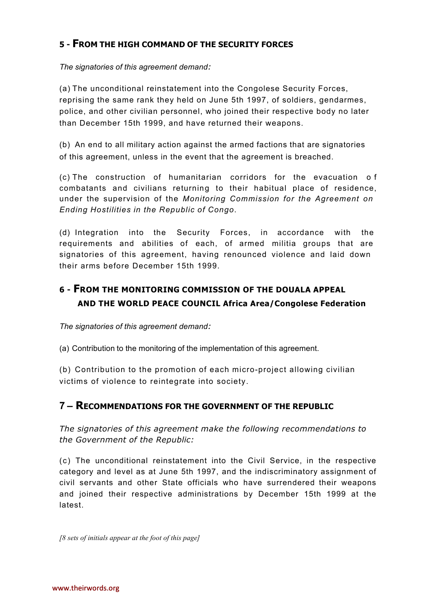## **5 - FROM THE HIGH COMMAND OF THE SECURITY FORCES**

*The signatories of this agreement demand:*

(a) The unconditional reinstatement into the Congolese Security Forces, reprising the same rank they held on June 5th 1997, of soldiers, gendarmes, police, and other civilian personnel, who joined their respective body no later than December 15th 1999, and have returned their weapons.

(b) An end to all military action against the armed factions that are signatories of this agreement, unless in the event that the agreement is breached.

(c) The construction of humanitarian corridors for the evacuation of combatan ts and civilians returning to their habitual place of residence, under the supervision of the *Monitoring Commission for the Agreement on Ending Hostilities in the Republic of Congo*.

(d) Integration into the Security Forces, in accordance with the requirements and abilities of each, of armed militia groups that are signatories of this agreement, having renounced violence and laid down their arms before December 15th 1999.

## **6 - FROM THE MONITORING COMMISSION OF THE DOUALA APPEAL AND THE WORLD PEACE COUNCIL Africa Area/Congolese Federation**

*The signatories of this agreement demand:*

(a) Contribution to the monitoring of the implementation of this agreement.

(b) Contribution to the promotion of each micro-project allowing civilian victims of violence to reintegrate into society.

## **7 – RECOMMENDATIONS FOR THE GOVERNMENT OF THE REPUBLIC**

*The signatories of this agreement make the following recommendations to the Government of the Republic:*

(c) The unconditional reinstatement into the Civil Service, in the respective category and level as at June 5th 1997, and the indiscriminatory assignment of civil servants and other State officials who have surrendered their weapons and joined their respective administrations by December 15th 1999 at the latest.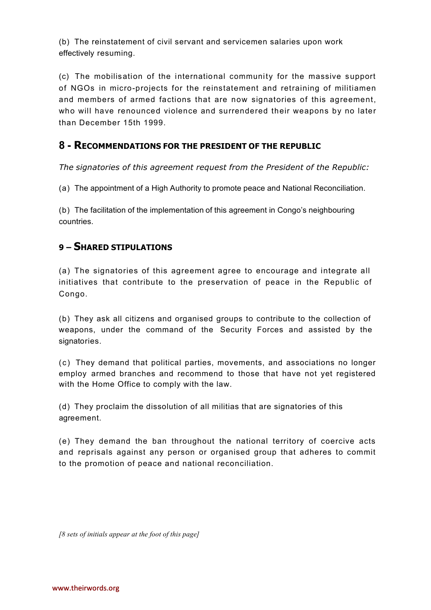(b) The reinstatement of civil servant and servicemen salaries upon work effectively resuming.

(c) The mobilisation of the international community for the massive support of NGOs in micro-projects for the reinstatement and retraining of militiamen and members of armed factions that are now signatories of this agreement, who will have renounced violence and surrendered their weapons by no later than December 15th 1999.

## **8 - RECOMMENDATIONS FOR THE PRESIDENT OF THE REPUBLIC**

*The signatories of this agreement request from the President of the Republic:*

(a) The appointment of a High Authority to promote peace and National Reconciliation.

(b) The facilitation of the implementation of this agreement in Congo's neighbouring countries.

## **9 – SHARED STIPULATIONS**

(a) The signatories of this agreement agree to encourage and integrate all initiatives that contribute to the preservation of peace in the Republic of Congo.

(b) They ask all citizens and organised groups to contribute to the collection of weapons, under the command of the Security Forces and assisted by the signatories.

( c ) They demand that political parties, movements, and associations no longer employ armed branches and recommend to those that have not yet registered with the Home Office to comply with the law.

(d) They proclaim the dissolution of all militias that are signatories of this agreement.

(e) They demand the ban throughout the national territory of coercive acts and reprisals against any person or organised group that adheres to commit to the promotion of peace and national reconciliation.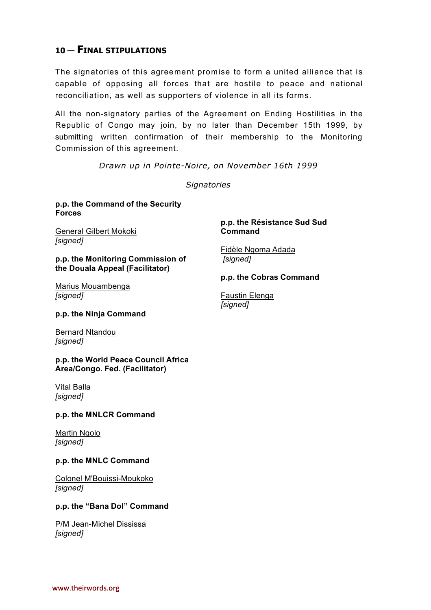## **10 — FINAL STIPULATIONS**

The signatories of this agreement promise to form a united alliance that is capable of opposing all forces that are hostile to peace and national reconciliation, as well as supporters of violence in all its forms.

All the non-signatory parties of the Agreement on Ending Hostilities in the Republic of Congo may join, by no later than December 15th 1999, by submitting written confirmation of their membership to the Monitoring Commission of this agreement.

*Drawn up in Pointe-Noire, on November 16th 1999*

*Signatories*

#### **p.p. the Command of the Security Forces**

General Gilbert Mokoki *[signed]*

**p.p. the Monitoring Commission of the Douala Appeal (Facilitator)**

Marius Mouambenga *[signed]*

**p.p. the Résistance Sud Sud Command**

Fidèle Ngoma Adada *[signed]*

#### **p.p. the Cobras Command**

Faustin Elenga *[signed]*

#### **p.p. the Ninja Command**

Bernard Ntandou *[signed]*

**p.p. the World Peace Council Africa Area/Congo. Fed. (Facilitator)**

#### Vital Balla *[signed]*

#### **p.p. the MNLCR Command**

Martin Ngolo *[signed]*

#### **p.p. the MNLC Command**

Colonel M'Bouissi-Moukoko *[signed]*

#### **p.p. the "Bana Dol" Command**

P/M Jean-Michel Dississa *[signed]*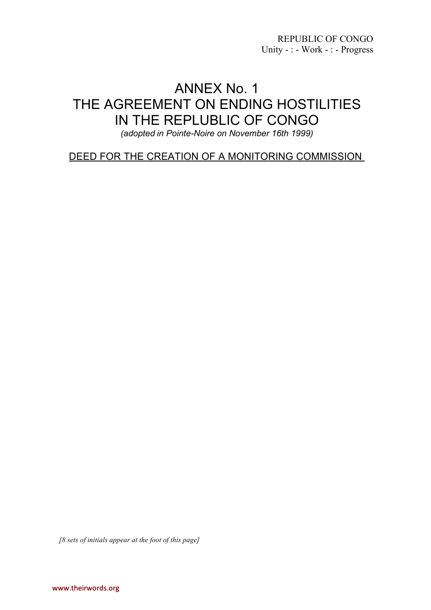REPUBLIC OF CONGO Unity - : - Work - : - Progress

## ANNEX No. 1 THE AGREEMENT ON ENDING HOSTILITIES IN THE REPLUBLIC OF CONGO

*(adopted in Pointe-Noire on November 16th 1999)*

DEED FOR THE CREATION OF A MONITORING COMMISSION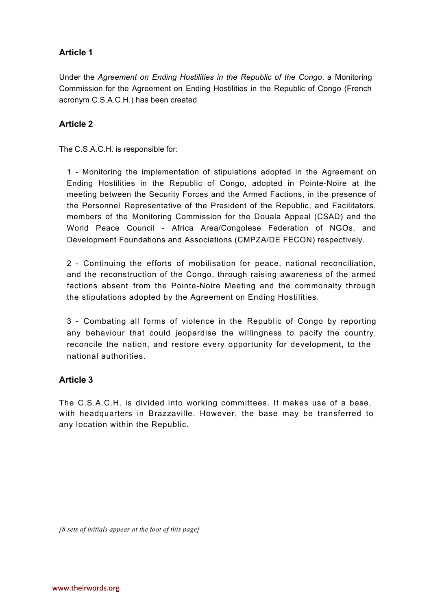Under the *Agreement on Ending Hostilities in the Republic of the Congo*, a Monitoring Commission for the Agreement on Ending Hostilities in the Republic of Congo (French acronym C.S.A.C.H.) has been created

#### **Article 2**

The C.S.A.C.H. is responsible for:

1 - Monitoring the implementation of stipulations adopted in the Agreement on Ending Hostilities in the Republic of Congo, adopted in Pointe-Noire at the meeting between the Security Forces and the Armed Factions, in the presence of the Personnel Representative of the President of the Republic, and Facilitators, members of the Monitoring Commission for the Douala Appeal (CSAD) and the World Peace Council - Africa Area/Congolese Federation of NGOs, and Development Foundations and Associations (CMPZA/DE FECON) respectively.

2 - Continuing the efforts of mobilisation for peace, national reconciliation, and the reconstruction of the Congo, through raising awareness of the armed factions absent from the Pointe-Noire Meeting and the commonalty through the stipulations adopted by the Agreement on Ending Hostilities.

3 - Combating all forms of violence in the Republic of Congo by reporting any behaviour that could jeopardise the willingness to pacify the country, reconcile the nation, and restore every opportunity for development, to the national authorities.

#### **Article 3**

The C.S.A.C.H. is divided into working committees. It makes use of a base, with headquarters in Brazzaville. However, the base may be transferred to any location within the Republic.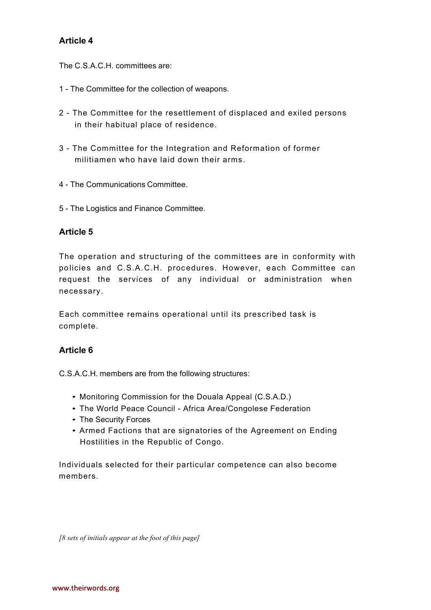The C.S.A.C.H. committees are:

- 1 The Committee for the collection of weapons.
- 2 The Committee for the resettlement of displaced and exiled persons in their habitual place of residence.
- 3 The Committee for the Integration and Reformation of former militiamen who have laid down their arms .
- 4 The Communications Committee.
- 5 The Logistics and Finance Committee.

#### **Article 5**

The operation and structuring of the committees are in conformity with policies and C.S.A.C.H. procedures. However, each Committee can request the services of any individual or administration when necessary.

Each committee remains operational until its prescribed task is complete.

#### **Article 6**

C.S.A.C.H. members are from the following structures:

- Monitoring Commission for the Douala Appeal (C.S.A.D.)
- The World Peace Council Africa Area/Congolese Federation
- The Security Forces
- Armed Factions that are signatories of the Agreement on Ending Hostilities in the Republic of Congo.

Individuals selected for their particular competence can also become members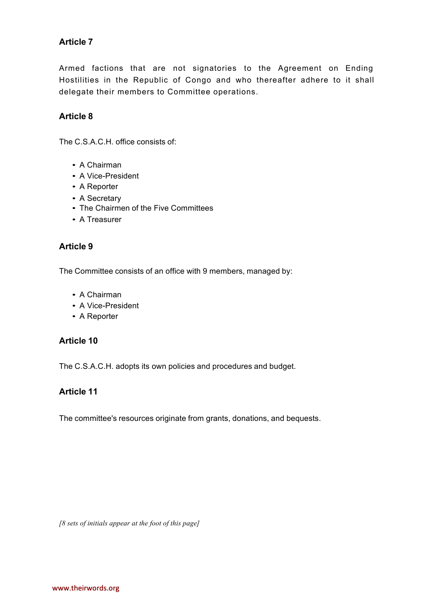Armed factions that are not signatories to the Agreement on Ending Hostilities in the Republic of Congo and who thereafter adhere to it shall delegate their members to Committee operations.

#### **Article 8**

The C.S.A.C.H. office consists of:

- A Chairman
- A Vice-President
- A Reporter
- A Secretary
- The Chairmen of the Five Committees
- A Treasurer

#### **Article 9**

The Committee consists of an office with 9 members, managed by:

- A Chairman
- A Vice-President
- A Reporter

#### **Article 10**

The C.S.A.C.H. adopts its own policies and procedures and budget.

#### **Article 11**

The committee's resources originate from grants, donations, and bequests.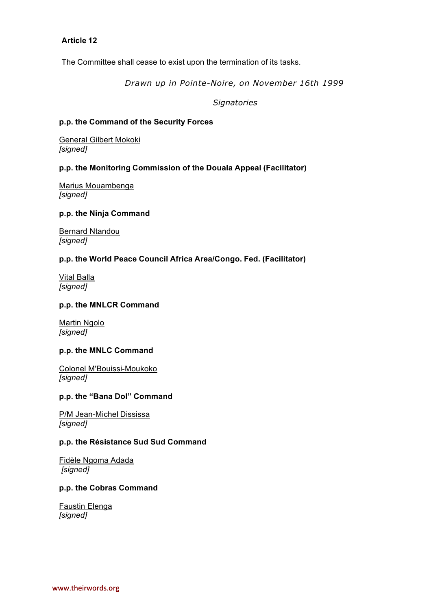The Committee shall cease to exist upon the termination of its tasks.

*Drawn up in Pointe-Noire, on November 16th 1999*

*Signatories*

#### **p.p. the Command of the Security Forces**

General Gilbert Mokoki *[signed]*

#### **p.p. the Monitoring Commission of the Douala Appeal (Facilitator)**

Marius Mouambenga *[signed]*

#### **p.p. the Ninja Command**

Bernard Ntandou *[signed]*

#### **p.p. the World Peace Council Africa Area/Congo. Fed. (Facilitator)**

Vital Balla *[signed]*

#### **p.p. the MNLCR Command**

Martin Ngolo *[signed]*

#### **p.p. the MNLC Command**

Colonel M'Bouissi-Moukoko *[signed]*

#### **p.p. the "Bana Dol" Command**

P/M Jean-Michel Dississa *[signed]*

#### **p.p. the Résistance Sud Sud Command**

Fidèle Ngoma Adada *[signed]*

#### **p.p. the Cobras Command**

Faustin Elenga *[signed]*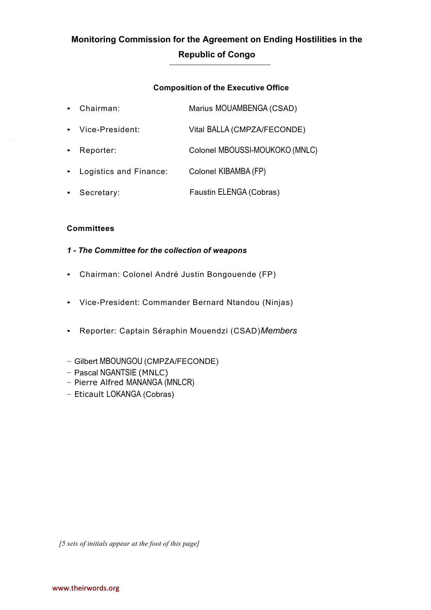## **Monitoring Commission for the Agreement on Ending Hostilities in the Republic of Congo**

#### **Composition of the Executive Office**

| $\bullet$ | Chairman:                | Marius MOUAMBENGA (CSAD)       |
|-----------|--------------------------|--------------------------------|
| $\bullet$ | Vice-President:          | Vital BALLA (CMPZA/FECONDE)    |
| $\bullet$ | Reporter:                | Colonel MBOUSSI-MOUKOKO (MNLC) |
|           | • Logistics and Finance: | Colonel KIBAMBA (FP)           |
| $\bullet$ | Secretary:               | Faustin ELENGA (Cobras)        |

#### **Committees**

#### *1 - The Committee for the collection of weapons*

- Chairman: Colonel André Justin Bongouende (FP)
- Vice-President: Commander Bernard Ntandou (Ninjas)
- Reporter: Captain Séraphin Mouendzi (CSAD)*Members*
- − Gilbert MBOUNGOU (CMPZA/FECONDE)
- − Pascal NGANTSIE (MNLC)
- − Pierre Alfred MANANGA (MNLCR)
- − Eticault LOKANGA (Cobras)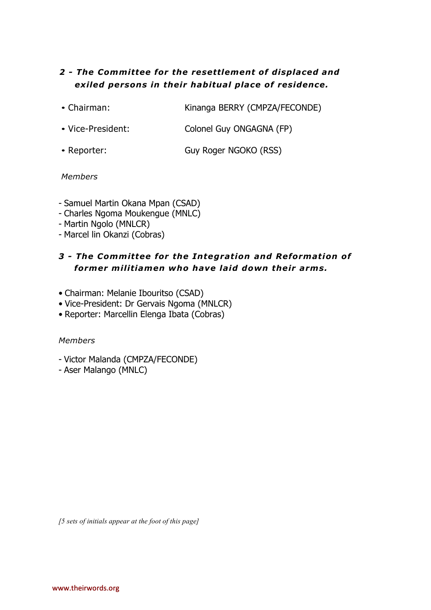## *2 - The Committee for the resettlement of displaced and exiled persons in their hab itual place of residence.*

- Chairman: Kinanga BERRY (CMPZA/FECONDE)
- Vice-President: Colonel Guy ONGAGNA (FP)
- Reporter: Guy Roger NGOKO (RSS)

#### *Members*

- Samuel Martin Okana Mpan (CSAD)
- Charles Ngoma Moukengue (MNLC)
- Martin Ngolo (MNLCR)
- Marcel lin Okanzi (Cobras)

## *3 - The Committee for the Integration and Reformation of former militiamen who have laid down their arms.*

- Chairman: Melanie Ibouritso (CSAD)
- Vice-President: Dr Gervais Ngoma (MNLCR)
- Reporter: Marcellin Elenga Ibata (Cobras)

#### *Members*

- Victor Malanda (CMPZA/FECONDE)
- Aser Malango (MNLC)